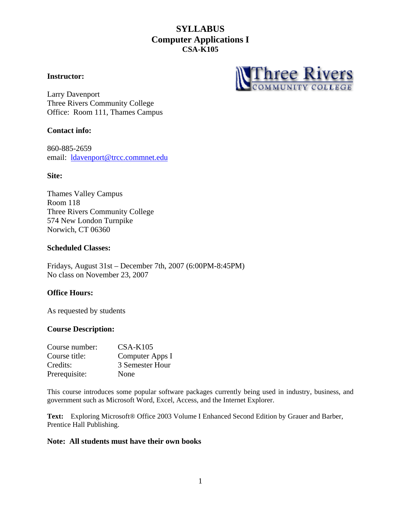### **Instructor:**



Larry Davenport Three Rivers Community College Office: Room 111, Thames Campus

## **Contact info:**

860-885-2659 email: [ldavenport@trcc.commnet.edu](mailto:ldavenport@trcc.commnet.edu)

### **Site:**

Thames Valley Campus Room 118 Three Rivers Community College 574 New London Turnpike Norwich, CT 06360

### **Scheduled Classes:**

Fridays, August 31st – December 7th, 2007 (6:00PM-8:45PM) No class on November 23, 2007

## **Office Hours:**

As requested by students

### **Course Description:**

| Course number: | $CSA-K105$      |
|----------------|-----------------|
| Course title:  | Computer Apps I |
| Credits:       | 3 Semester Hour |
| Prerequisite:  | None            |

This course introduces some popular software packages currently being used in industry, business, and government such as Microsoft Word, Excel, Access, and the Internet Explorer.

**Text:** Exploring Microsoft® Office 2003 Volume I Enhanced Second Edition by Grauer and Barber, Prentice Hall Publishing.

### **Note: All students must have their own books**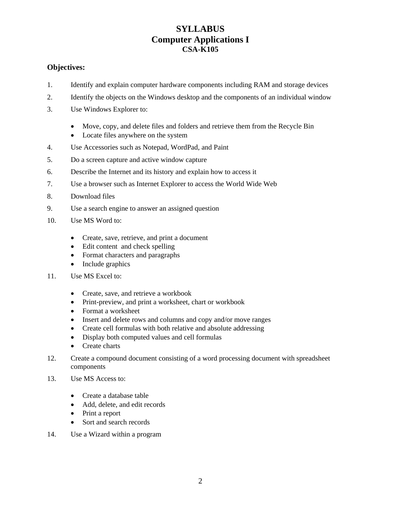## **Objectives:**

- 1. Identify and explain computer hardware components including RAM and storage devices
- 2. Identify the objects on the Windows desktop and the components of an individual window
- 3. Use Windows Explorer to:
	- Move, copy, and delete files and folders and retrieve them from the Recycle Bin
	- Locate files anywhere on the system
- 4. Use Accessories such as Notepad, WordPad, and Paint
- 5. Do a screen capture and active window capture
- 6. Describe the Internet and its history and explain how to access it
- 7. Use a browser such as Internet Explorer to access the World Wide Web
- 8. Download files
- 9. Use a search engine to answer an assigned question
- 10. Use MS Word to:
	- Create, save, retrieve, and print a document
	- Edit content and check spelling
	- Format characters and paragraphs
	- Include graphics
- 11. Use MS Excel to:
	- Create, save, and retrieve a workbook
	- Print-preview, and print a worksheet, chart or workbook
	- Format a worksheet
	- Insert and delete rows and columns and copy and/or move ranges
	- Create cell formulas with both relative and absolute addressing
	- Display both computed values and cell formulas
	- Create charts
- 12. Create a compound document consisting of a word processing document with spreadsheet components
- 13. Use MS Access to:
	- Create a database table
	- Add, delete, and edit records
	- Print a report
	- Sort and search records
- 14. Use a Wizard within a program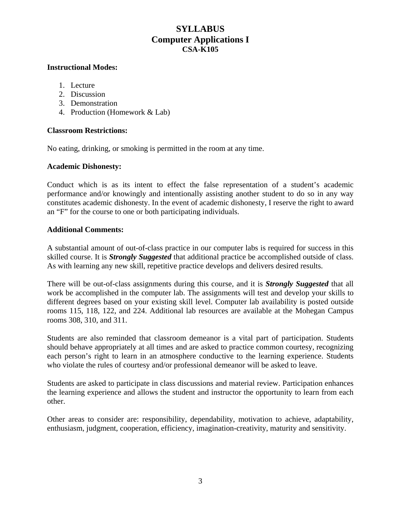## **Instructional Modes:**

- 1. Lecture
- 2. Discussion
- 3. Demonstration
- 4. Production (Homework & Lab)

## **Classroom Restrictions:**

No eating, drinking, or smoking is permitted in the room at any time.

### **Academic Dishonesty:**

Conduct which is as its intent to effect the false representation of a student's academic performance and/or knowingly and intentionally assisting another student to do so in any way constitutes academic dishonesty. In the event of academic dishonesty, I reserve the right to award an "F" for the course to one or both participating individuals.

## **Additional Comments:**

A substantial amount of out-of-class practice in our computer labs is required for success in this skilled course. It is *Strongly Suggested* that additional practice be accomplished outside of class. As with learning any new skill, repetitive practice develops and delivers desired results.

There will be out-of-class assignments during this course, and it is *Strongly Suggested* that all work be accomplished in the computer lab. The assignments will test and develop your skills to different degrees based on your existing skill level. Computer lab availability is posted outside rooms 115, 118, 122, and 224. Additional lab resources are available at the Mohegan Campus rooms 308, 310, and 311.

Students are also reminded that classroom demeanor is a vital part of participation. Students should behave appropriately at all times and are asked to practice common courtesy, recognizing each person's right to learn in an atmosphere conductive to the learning experience. Students who violate the rules of courtesy and/or professional demeanor will be asked to leave.

Students are asked to participate in class discussions and material review. Participation enhances the learning experience and allows the student and instructor the opportunity to learn from each other.

Other areas to consider are: responsibility, dependability, motivation to achieve, adaptability, enthusiasm, judgment, cooperation, efficiency, imagination-creativity, maturity and sensitivity.